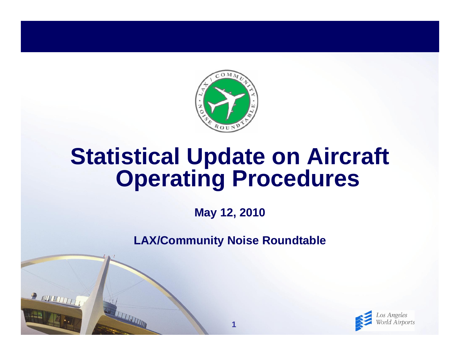

# **Statistical Update on Aircraft Operating Procedures**

**May 12, 2010**

**LAX/Community Noise Roundtable**

**1**

R NUTHTING

THE THE TIME

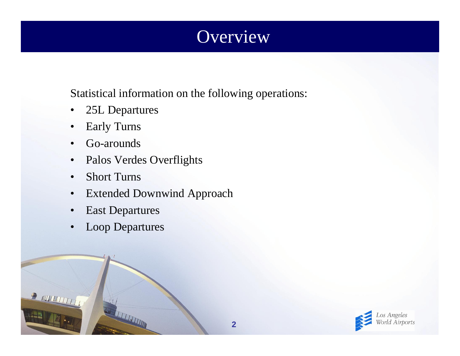## **Overview**

Statistical information on the following operations:

- •25L Departures
- •Early Turns
- •Go-arounds
- $\bullet$ Palos Verdes Overflights
- •Short Turns

- $\bullet$ Extended Downwind Approach
- •East Departures
- •Loop Departures

**REAL PROPERTY AND** 

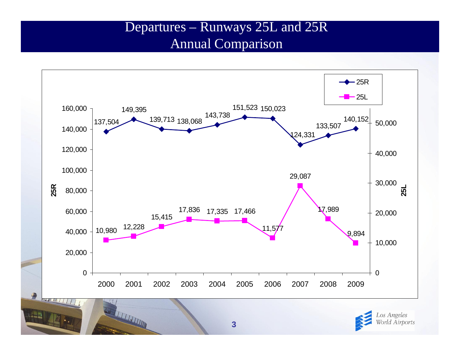#### Departures – Runways 25L and 25R Annual Comparison

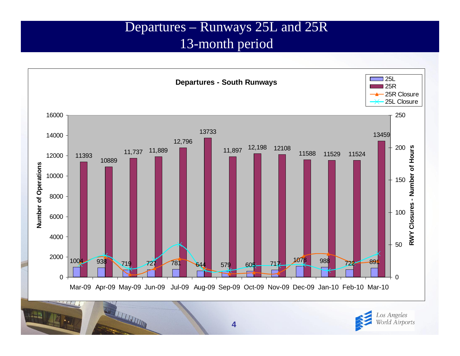#### Departures – Runways 25L and 25R 13-month period



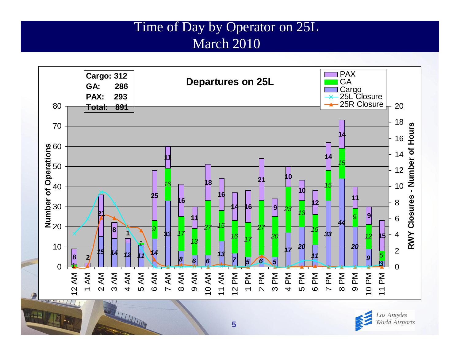#### Time of Day by Operator on 25L March 2010



Los Angeles World Airports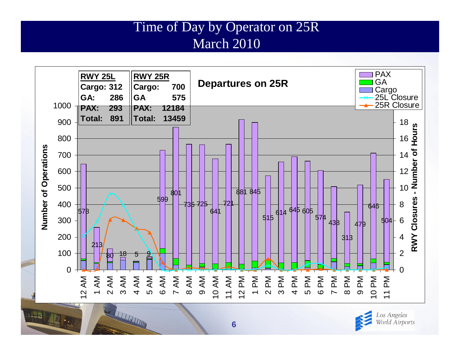#### Time of Day by Operator on 25R March 2010



Los Angeles World Airports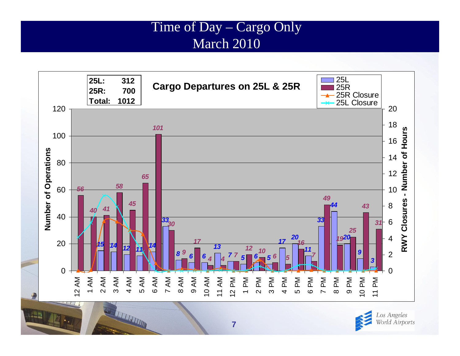#### Time of Day – Cargo Only March 2010



Los Angeles World Airports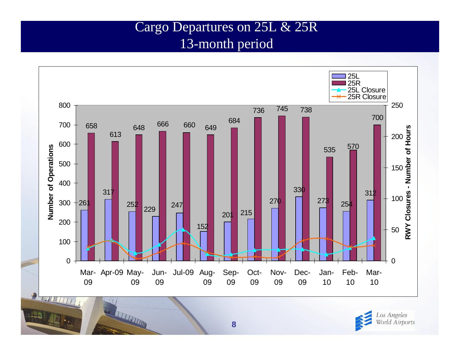#### Cargo Departures on 25L & 25R 13-month period



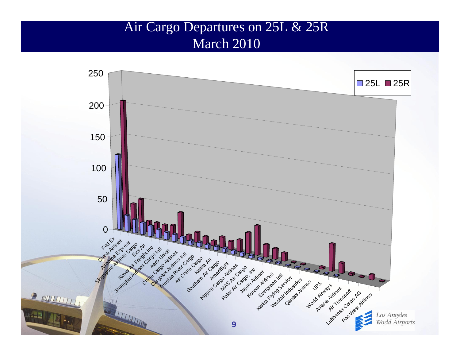#### Air Cargo Departures on 25L & 25R March 2010

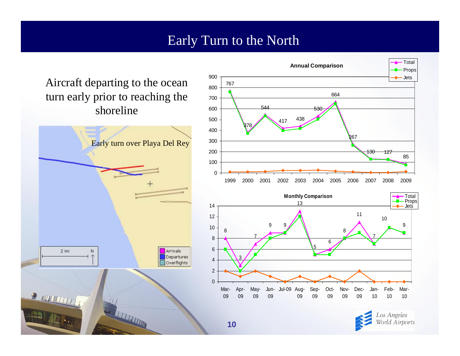#### Early Turn to the North

Aircraft departing to the ocean turn early prior to reaching the shoreline





os Angeles World Airports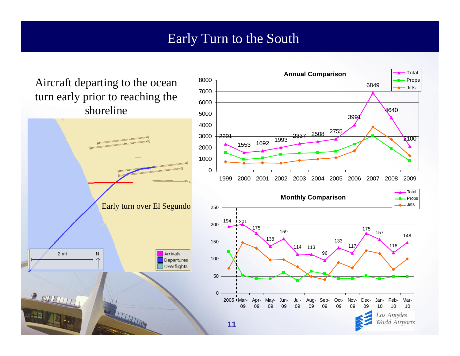#### Early Turn to the South

**Annual Comparison**

TotalProps

Aircraft departing to the ocean turn early prior to reaching the shoreline

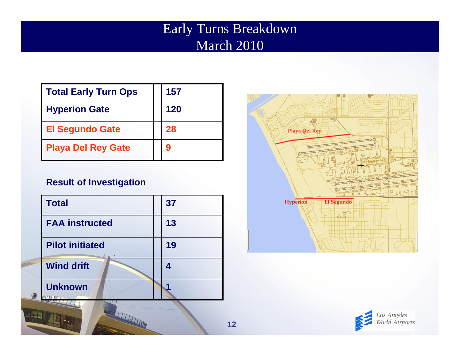## Early Turns Breakdown March 2010

| Total Early Turn Ops      | 157 |
|---------------------------|-----|
| <b>Hyperion Gate</b>      | 120 |
| <b>El Segundo Gate</b>    | 28  |
| <b>Playa Del Rey Gate</b> | 9   |

#### **Result of Investigation**

| <b>Total</b>           | 37 |
|------------------------|----|
| <b>FAA instructed</b>  | 13 |
| <b>Pilot initiated</b> | 19 |
| <b>Wind drift</b>      | 4  |
| <b>Unknown</b>         |    |

STATISTICS.



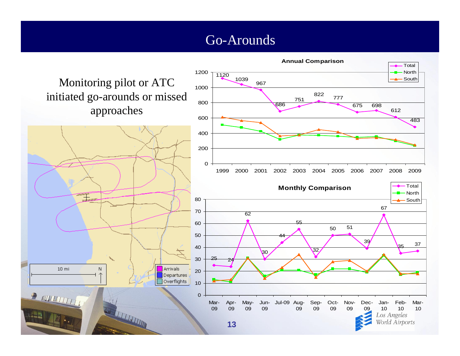#### Go-Arounds

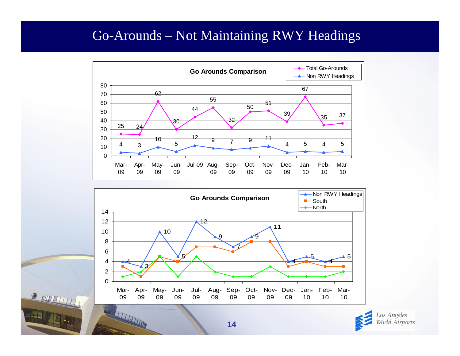#### Go-Arounds – Not Maintaining RWY Headings







 $\mathbb{F}$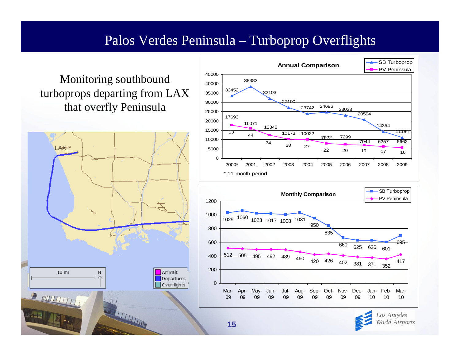#### Palos Verdes Peninsula – Turboprop Overflights

#### Monitoring southbound turboprops departing from LAX that overfly Peninsula





World Airports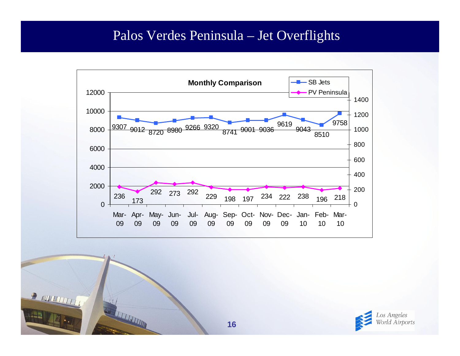#### Palos Verdes Peninsula – Jet Overflights





THE THEFT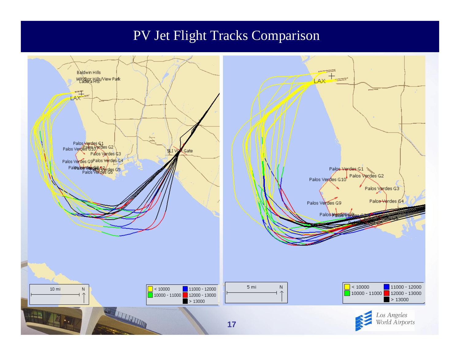#### PV Jet Flight Tracks Comparison

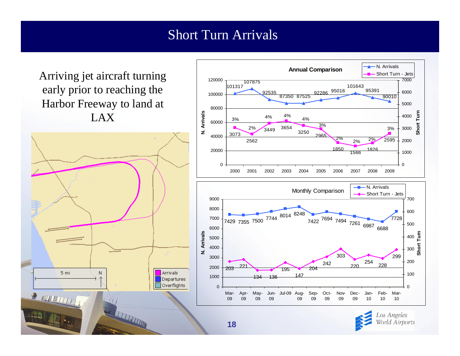#### Short Turn Arrivals

Arriving jet aircraft turning early prior to reaching the Harbor Freeway to land at LAX





Los Angeles World Airports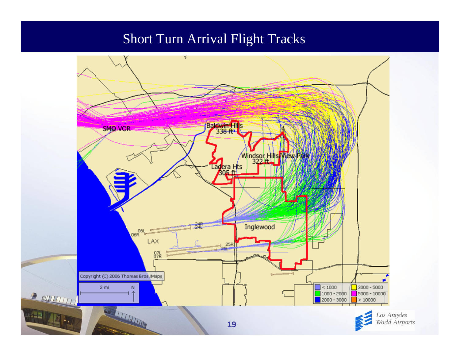#### Short Turn Arrival Flight Tracks

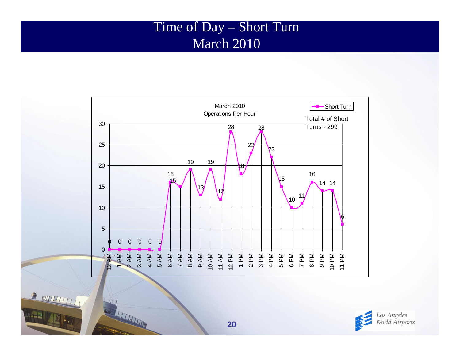#### Time of Day – Short Turn March 2010



Los Angeles<br>World Airports

READ AND READ PARTIES

STATISTICS.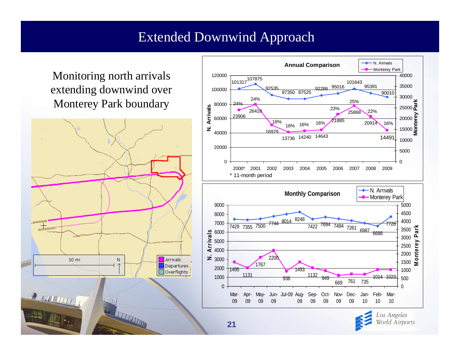#### Extended Downwind Approach

Monitoring north arrivals extending downwind over Monterey Park boundary





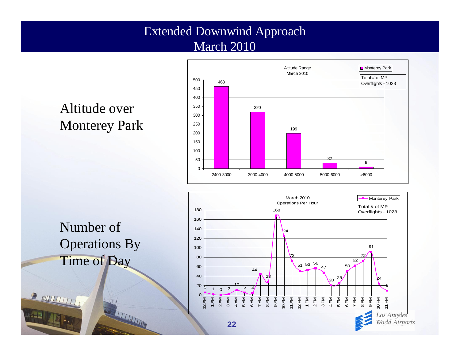#### Extended Downwind Approach March 2010



## Altitude over Monterey Park



 $\begin{picture}(20,20) \put(0,0){\vector(1,0){10}} \put(15,0){\vector(1,0){10}} \put(15,0){\vector(1,0){10}} \put(15,0){\vector(1,0){10}} \put(15,0){\vector(1,0){10}} \put(15,0){\vector(1,0){10}} \put(15,0){\vector(1,0){10}} \put(15,0){\vector(1,0){10}} \put(15,0){\vector(1,0){10}} \put(15,0){\vector(1,0){10}} \put(15,0){\vector(1,0){10}} \put(15,0){\vector(1$ 



THE REAL PROPERTY AND IN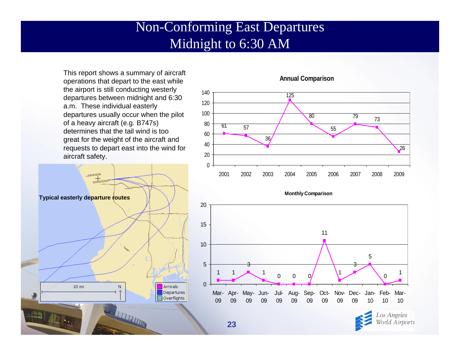#### Non-Conforming East Departures Midnight to 6:30 AM

This report shows a summary of aircraft operations that depart to the east while the airport is still conducting westerly departures between midnight and 6:30 a.m. These individual easterly departures usually occur when the pilot of a heavy aircraft (e.g. B747s) determines that the tail wind is too great for the weight of the aircraft and requests to depart east into the wind for aircraft safety.





#### **Annual Comparison**

**Monthly Comparison**



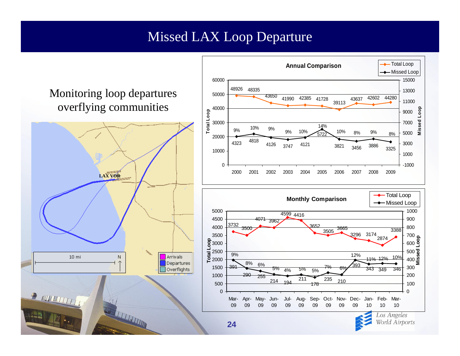#### Missed LAX Loop Departure

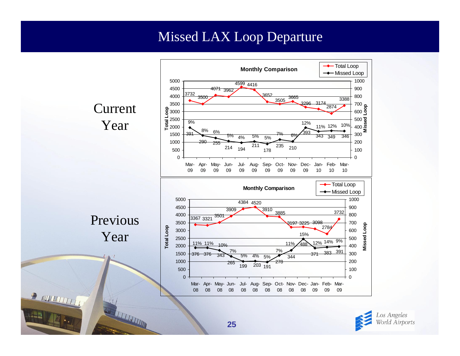#### Missed LAX Loop Departure